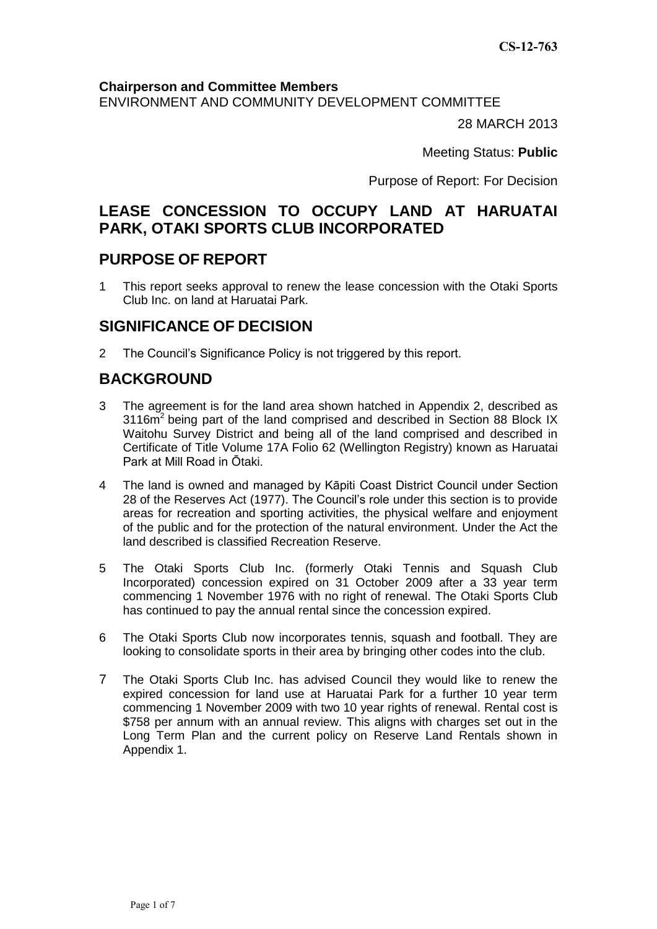#### **Chairperson and Committee Members**

ENVIRONMENT AND COMMUNITY DEVELOPMENT COMMITTEE

28 MARCH 2013

Meeting Status: **Public**

Purpose of Report: For Decision

# **LEASE CONCESSION TO OCCUPY LAND AT HARUATAI PARK, OTAKI SPORTS CLUB INCORPORATED**

## **PURPOSE OF REPORT**

1 This report seeks approval to renew the lease concession with the Otaki Sports Club Inc. on land at Haruatai Park.

## **SIGNIFICANCE OF DECISION**

2 The Council's Significance Policy is not triggered by this report.

# **BACKGROUND**

- 3 The agreement is for the land area shown hatched in Appendix 2, described as  $3116m<sup>2</sup>$  being part of the land comprised and described in Section 88 Block IX Waitohu Survey District and being all of the land comprised and described in Certificate of Title Volume 17A Folio 62 (Wellington Registry) known as Haruatai Park at Mill Road in Ōtaki.
- 4 The land is owned and managed by Kāpiti Coast District Council under Section 28 of the Reserves Act (1977). The Council's role under this section is to provide areas for recreation and sporting activities, the physical welfare and enjoyment of the public and for the protection of the natural environment. Under the Act the land described is classified Recreation Reserve.
- 5 The Otaki Sports Club Inc. (formerly Otaki Tennis and Squash Club Incorporated) concession expired on 31 October 2009 after a 33 year term commencing 1 November 1976 with no right of renewal. The Otaki Sports Club has continued to pay the annual rental since the concession expired.
- 6 The Otaki Sports Club now incorporates tennis, squash and football. They are looking to consolidate sports in their area by bringing other codes into the club.
- 7 The Otaki Sports Club Inc. has advised Council they would like to renew the expired concession for land use at Haruatai Park for a further 10 year term commencing 1 November 2009 with two 10 year rights of renewal. Rental cost is \$758 per annum with an annual review. This aligns with charges set out in the Long Term Plan and the current policy on Reserve Land Rentals shown in Appendix 1.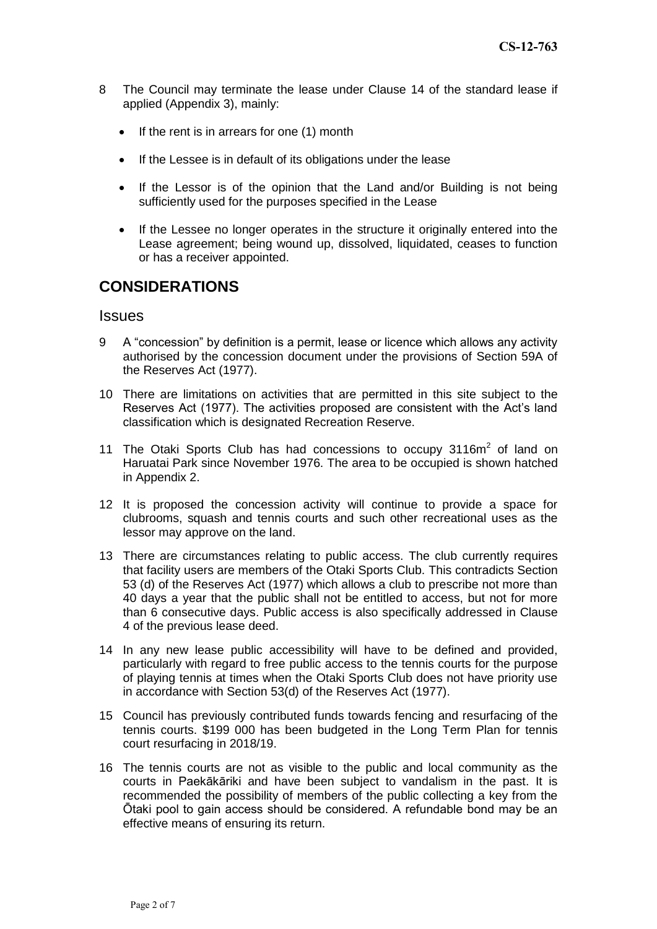- 8 The Council may terminate the lease under Clause 14 of the standard lease if applied (Appendix 3), mainly:
	- $\bullet$  If the rent is in arrears for one (1) month
	- If the Lessee is in default of its obligations under the lease
	- If the Lessor is of the opinion that the Land and/or Building is not being sufficiently used for the purposes specified in the Lease
	- If the Lessee no longer operates in the structure it originally entered into the Lease agreement; being wound up, dissolved, liquidated, ceases to function or has a receiver appointed.

## **CONSIDERATIONS**

#### **Issues**

- 9 A "concession" by definition is a permit, lease or licence which allows any activity authorised by the concession document under the provisions of Section 59A of the Reserves Act (1977).
- 10 There are limitations on activities that are permitted in this site subject to the Reserves Act (1977). The activities proposed are consistent with the Act's land classification which is designated Recreation Reserve.
- 11 The Otaki Sports Club has had concessions to occupy  $3116m^2$  of land on Haruatai Park since November 1976. The area to be occupied is shown hatched in Appendix 2.
- 12 It is proposed the concession activity will continue to provide a space for clubrooms, squash and tennis courts and such other recreational uses as the lessor may approve on the land.
- 13 There are circumstances relating to public access. The club currently requires that facility users are members of the Otaki Sports Club. This contradicts Section 53 (d) of the Reserves Act (1977) which allows a club to prescribe not more than 40 days a year that the public shall not be entitled to access, but not for more than 6 consecutive days. Public access is also specifically addressed in Clause 4 of the previous lease deed.
- 14 In any new lease public accessibility will have to be defined and provided, particularly with regard to free public access to the tennis courts for the purpose of playing tennis at times when the Otaki Sports Club does not have priority use in accordance with Section 53(d) of the Reserves Act (1977).
- 15 Council has previously contributed funds towards fencing and resurfacing of the tennis courts. \$199 000 has been budgeted in the Long Term Plan for tennis court resurfacing in 2018/19.
- 16 The tennis courts are not as visible to the public and local community as the courts in Paekākāriki and have been subject to vandalism in the past. It is recommended the possibility of members of the public collecting a key from the Ōtaki pool to gain access should be considered. A refundable bond may be an effective means of ensuring its return.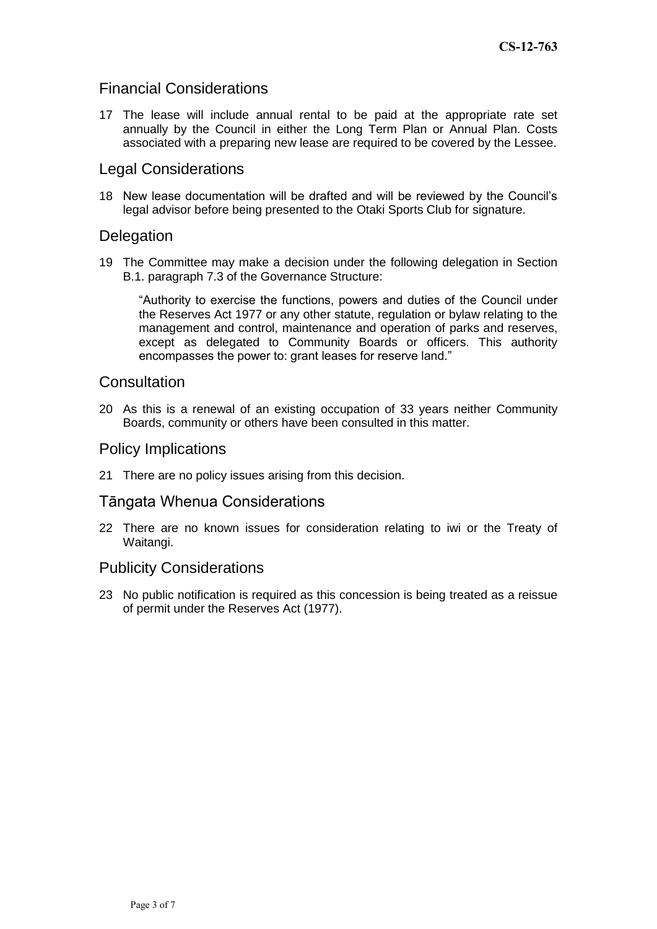### Financial Considerations

17 The lease will include annual rental to be paid at the appropriate rate set annually by the Council in either the Long Term Plan or Annual Plan. Costs associated with a preparing new lease are required to be covered by the Lessee.

### Legal Considerations

18 New lease documentation will be drafted and will be reviewed by the Council's legal advisor before being presented to the Otaki Sports Club for signature.

### **Delegation**

19 The Committee may make a decision under the following delegation in Section B.1. paragraph 7.3 of the Governance Structure:

"Authority to exercise the functions, powers and duties of the Council under the Reserves Act 1977 or any other statute, regulation or bylaw relating to the management and control, maintenance and operation of parks and reserves, except as delegated to Community Boards or officers. This authority encompasses the power to: grant leases for reserve land."

#### **Consultation**

20 As this is a renewal of an existing occupation of 33 years neither Community Boards, community or others have been consulted in this matter.

#### Policy Implications

21 There are no policy issues arising from this decision.

#### Tāngata Whenua Considerations

22 There are no known issues for consideration relating to iwi or the Treaty of Waitangi.

### Publicity Considerations

23 No public notification is required as this concession is being treated as a reissue of permit under the Reserves Act (1977).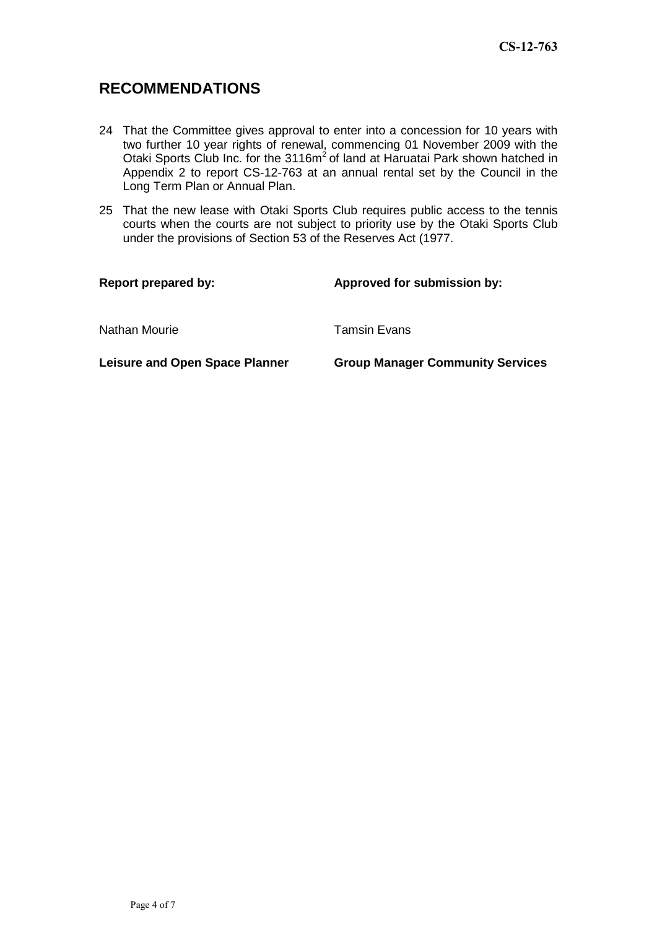## **RECOMMENDATIONS**

- 24 That the Committee gives approval to enter into a concession for 10 years with two further 10 year rights of renewal, commencing 01 November 2009 with the Otaki Sports Club Inc. for the 3116m<sup>2</sup> of land at Haruatai Park shown hatched in Appendix 2 to report CS-12-763 at an annual rental set by the Council in the Long Term Plan or Annual Plan.
- 25 That the new lease with Otaki Sports Club requires public access to the tennis courts when the courts are not subject to priority use by the Otaki Sports Club under the provisions of Section 53 of the Reserves Act (1977.

| <b>Report prepared by:</b>            | Approved for submission by:             |
|---------------------------------------|-----------------------------------------|
| Nathan Mourie                         | <b>Tamsin Evans</b>                     |
| <b>Leisure and Open Space Planner</b> | <b>Group Manager Community Services</b> |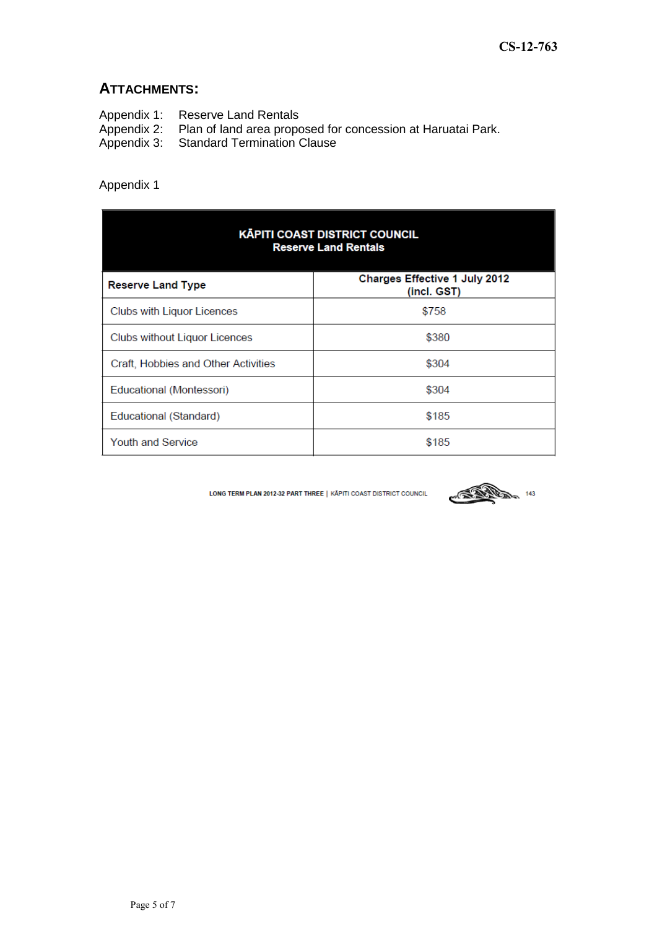### **ATTACHMENTS:**

- Appendix 1: Reserve Land Rentals<br>Appendix 2: Plan of land area propo<br>Appendix 3: Standard Termination (
- Appendix 2: Plan of land area proposed for concession at Haruatai Park.
- Appendix 3: Standard Termination Clause

### Appendix 1

| <b>KĀPITI COAST DISTRICT COUNCIL</b><br><b>Reserve Land Rentals</b> |                                                     |
|---------------------------------------------------------------------|-----------------------------------------------------|
| <b>Reserve Land Type</b>                                            | <b>Charges Effective 1 July 2012</b><br>(incl. GST) |
| Clubs with Liquor Licences                                          | \$758                                               |
| Clubs without Liquor Licences                                       | \$380                                               |
| Craft, Hobbies and Other Activities                                 | \$304                                               |
| Educational (Montessori)                                            | \$304                                               |
| Educational (Standard)                                              | \$185                                               |
| <b>Youth and Service</b>                                            | \$185                                               |

LONG TERM PLAN 2012-32 PART THREE | KĀPITI COAST DISTRICT COUNCIL

**143 143**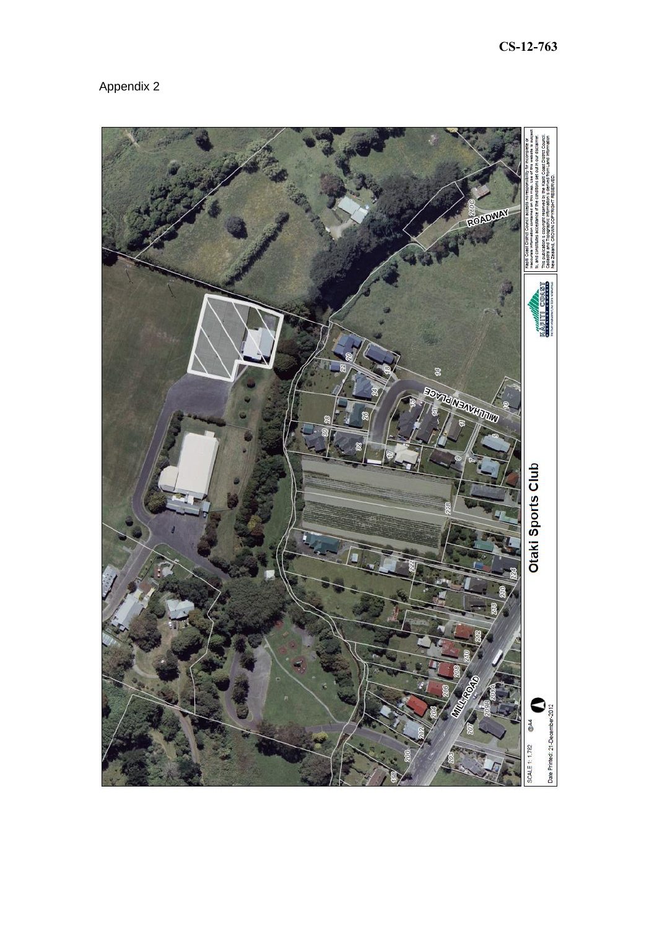